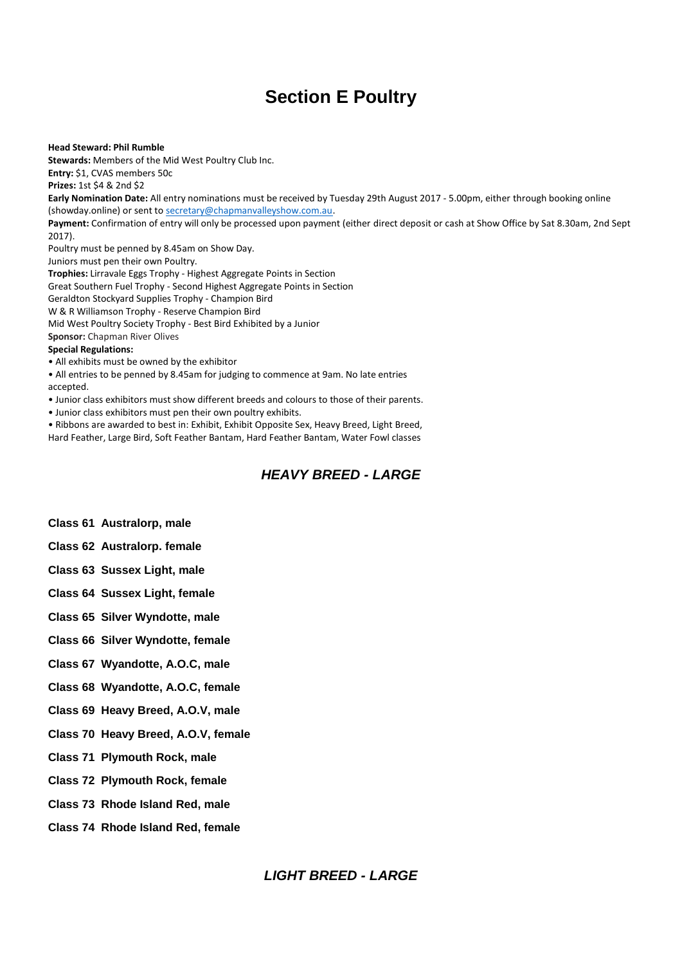# **Section E Poultry**

**Head Steward: Phil Rumble Stewards:** Members of the Mid West Poultry Club Inc. **Entry:** \$1, CVAS members 50c **Prizes:** 1st \$4 & 2nd \$2 **Early Nomination Date:** All entry nominations must be received by Tuesday 29th August 2017 - 5.00pm, either through booking online (showday.online) or sent t[o secretary@chapmanvalleyshow.com.au.](mailto:secretary@chapmanvalleyshow.com.au) **Payment:** Confirmation of entry will only be processed upon payment (either direct deposit or cash at Show Office by Sat 8.30am, 2nd Sept 2017). Poultry must be penned by 8.45am on Show Day. Juniors must pen their own Poultry. **Trophies:** Lirravale Eggs Trophy - Highest Aggregate Points in Section Great Southern Fuel Trophy - Second Highest Aggregate Points in Section Geraldton Stockyard Supplies Trophy - Champion Bird W & R Williamson Trophy - Reserve Champion Bird Mid West Poultry Society Trophy - Best Bird Exhibited by a Junior **Sponsor:** Chapman River Olives **Special Regulations:** • All exhibits must be owned by the exhibitor • All entries to be penned by 8.45am for judging to commence at 9am. No late entries accepted.

• Junior class exhibitors must show different breeds and colours to those of their parents.

• Junior class exhibitors must pen their own poultry exhibits.

• Ribbons are awarded to best in: Exhibit, Exhibit Opposite Sex, Heavy Breed, Light Breed,

Hard Feather, Large Bird, Soft Feather Bantam, Hard Feather Bantam, Water Fowl classes

# *HEAVY BREED - LARGE*

- **Class 61 Australorp, male**
- **Class 62 Australorp. female**
- **Class 63 Sussex Light, male**
- **Class 64 Sussex Light, female**
- **Class 65 Silver Wyndotte, male**
- **Class 66 Silver Wyndotte, female**
- **Class 67 Wyandotte, A.O.C, male**
- **Class 68 Wyandotte, A.O.C, female**
- **Class 69 Heavy Breed, A.O.V, male**
- **Class 70 Heavy Breed, A.O.V, female**
- **Class 71 Plymouth Rock, male**
- **Class 72 Plymouth Rock, female**
- **Class 73 Rhode Island Red, male**
- **Class 74 Rhode Island Red, female**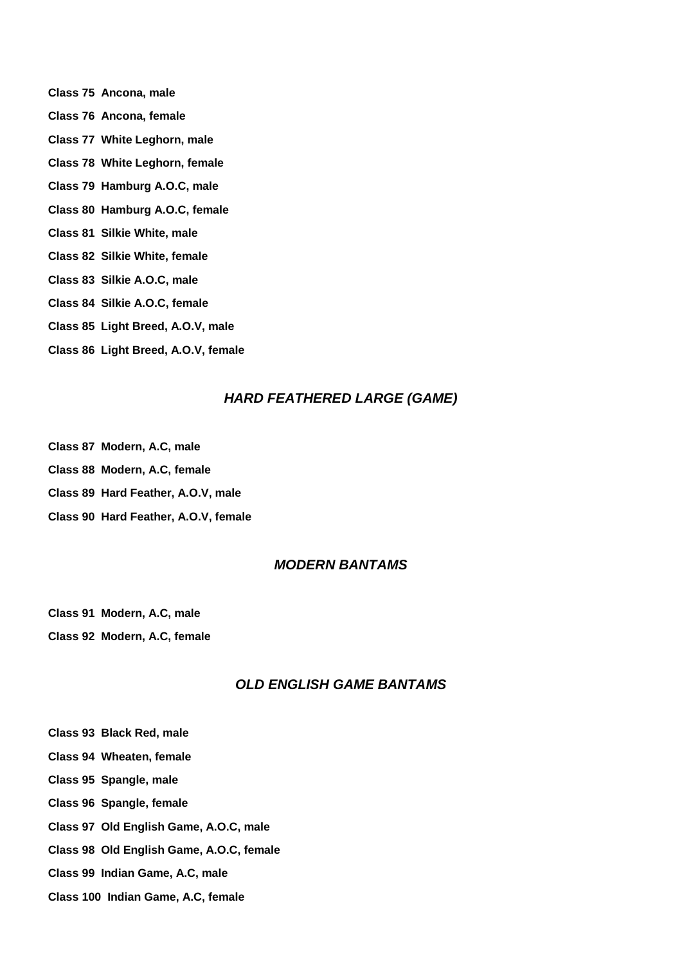- **Class 75 Ancona, male Class 76 Ancona, female Class 77 White Leghorn, male Class 78 White Leghorn, female Class 79 Hamburg A.O.C, male Class 80 Hamburg A.O.C, female Class 81 Silkie White, male Class 82 Silkie White, female Class 83 Silkie A.O.C, male Class 84 Silkie A.O.C, female**
- **Class 85 Light Breed, A.O.V, male**
- **Class 86 Light Breed, A.O.V, female**

#### *HARD FEATHERED LARGE (GAME)*

- **Class 87 Modern, A.C, male**
- **Class 88 Modern, A.C, female**
- **Class 89 Hard Feather, A.O.V, male**
- **Class 90 Hard Feather, A.O.V, female**

## *MODERN BANTAMS*

**Class 91 Modern, A.C, male**

**Class 92 Modern, A.C, female**

# *OLD ENGLISH GAME BANTAMS*

- **Class 93 Black Red, male**
- **Class 94 Wheaten, female**
- **Class 95 Spangle, male**
- **Class 96 Spangle, female**
- **Class 97 Old English Game, A.O.C, male**
- **Class 98 Old English Game, A.O.C, female**
- **Class 99 Indian Game, A.C, male**
- **Class 100 Indian Game, A.C, female**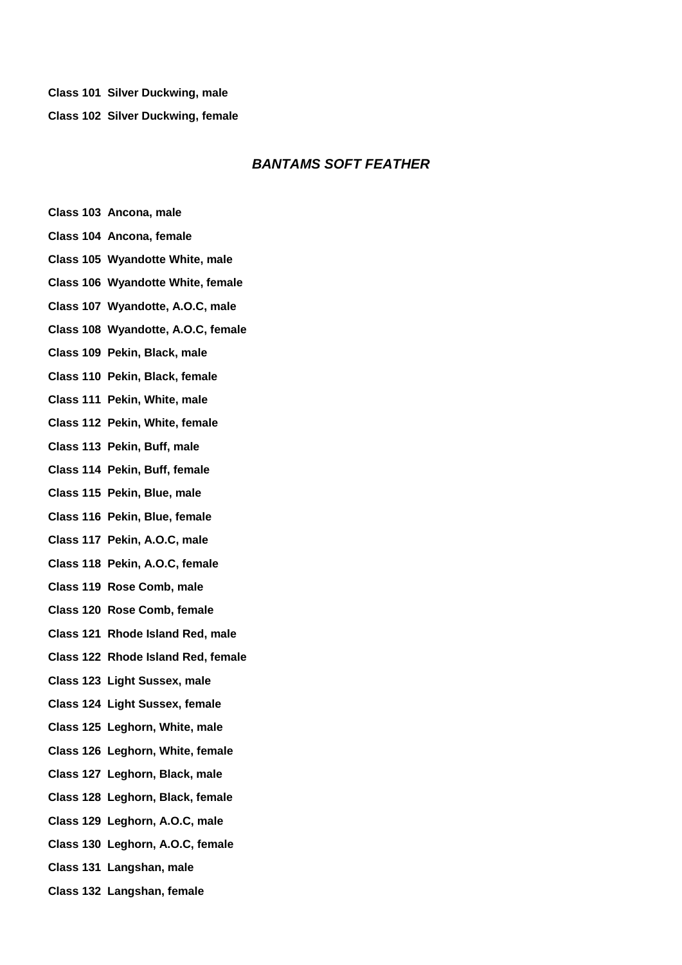**Class 101 Silver Duckwing, male**

**Class 102 Silver Duckwing, female**

### *BANTAMS SOFT FEATHER*

- **Class 103 Ancona, male**
- **Class 104 Ancona, female**
- **Class 105 Wyandotte White, male**
- **Class 106 Wyandotte White, female**
- **Class 107 Wyandotte, A.O.C, male**
- **Class 108 Wyandotte, A.O.C, female**
- **Class 109 Pekin, Black, male**
- **Class 110 Pekin, Black, female**
- **Class 111 Pekin, White, male**
- **Class 112 Pekin, White, female**
- **Class 113 Pekin, Buff, male**
- **Class 114 Pekin, Buff, female**
- **Class 115 Pekin, Blue, male**
- **Class 116 Pekin, Blue, female**
- **Class 117 Pekin, A.O.C, male**
- **Class 118 Pekin, A.O.C, female**
- **Class 119 Rose Comb, male**
- **Class 120 Rose Comb, female**
- **Class 121 Rhode Island Red, male**
- **Class 122 Rhode Island Red, female**
- **Class 123 Light Sussex, male**
- **Class 124 Light Sussex, female**
- **Class 125 Leghorn, White, male**
- **Class 126 Leghorn, White, female**
- **Class 127 Leghorn, Black, male**
- **Class 128 Leghorn, Black, female**
- **Class 129 Leghorn, A.O.C, male**
- **Class 130 Leghorn, A.O.C, female**
- **Class 131 Langshan, male**
- **Class 132 Langshan, female**